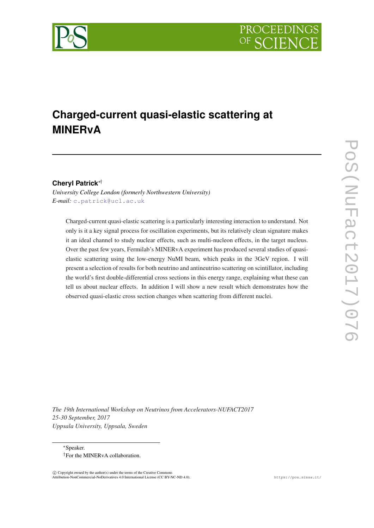

# **Charged-current quasi-elastic scattering at MINERvA**

## **Cheryl Patrick**∗†

*University College London (formerly Northwestern University) E-mail:* [c.patrick@ucl.ac.uk](mailto:c.patrick@ucl.ac.uk)

Charged-current quasi-elastic scattering is a particularly interesting interaction to understand. Not only is it a key signal process for oscillation experiments, but its relatively clean signature makes it an ideal channel to study nuclear effects, such as multi-nucleon effects, in the target nucleus. Over the past few years, Fermilab's MINERvA experiment has produced several studies of quasielastic scattering using the low-energy NuMI beam, which peaks in the 3GeV region. I will present a selection of results for both neutrino and antineutrino scattering on scintillator, including the world's first double-differential cross sections in this energy range, explaining what these can tell us about nuclear effects. In addition I will show a new result which demonstrates how the observed quasi-elastic cross section changes when scattering from different nuclei.

*The 19th International Workshop on Neutrinos from Accelerators-NUFACT2017 25-30 September, 2017 Uppsala University, Uppsala, Sweden*

<sup>∗</sup>Speaker. †For the MINERvA collaboration.

 $\overline{c}$  Copyright owned by the author(s) under the terms of the Creative Common Attribution-NonCommercial-NoDerivatives 4.0 International License (CC BY-NC-ND 4.0). https://pos.sissa.it/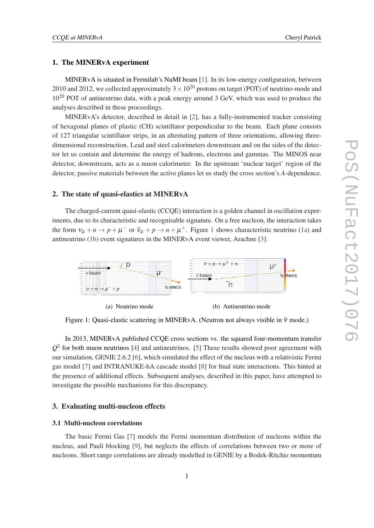#### 1. The MINERvA experiment

MINERvA is situated in Fermilab's NuMI beam [[1](#page-5-0)]. In its low-energy configuration, between 2010 and 2012, we collected approximately  $3 \times 10^{20}$  protons on target (POT) of neutrino-mode and  $10^{20}$  POT of antineutrino data, with a peak energy around 3 GeV, which was used to produce the analyses described in these proceedings.

MINERvA's detector, described in detail in [[2](#page-5-0)], has a fully-instrumented tracker consisting of hexagonal planes of plastic (CH) scintillator perpendicular to the beam. Each plane consists of 127 triangular scintillator strips, in an alternating pattern of three orientations, allowing threedimensional reconstruction. Lead and steel calorimeters downstream and on the sides of the detector let us contain and determine the energy of hadrons, electrons and gammas. The MINOS near detector, downstream, acts as a muon calorimeter. In the upstream 'nuclear target' region of the detector, passive materials between the active planes let us study the cross section's *A*-dependence.

#### 2. The state of quasi-elastics at MINERvA

The charged-current quasi-elastic (CCQE) interaction is a golden channel in oscillation experiments, due to its characteristic and recognisable signature. On a free nucleon, the interaction takes the form  $v_{\mu} + n \rightarrow p + \mu^-$  or  $\bar{v}_{\mu} + p \rightarrow n + \mu^+$ . Figure 1 shows characteristic neutrino (1a) and antineutrino (1b) event signatures in the MINERvA event viewer, Arachne [[3](#page-5-0)].



(a) Neutrino mode (b) Antineutrino mode

Figure 1: Quasi-elastic scattering in MINERvA. (Neutron not always visible in  $\bar{v}$  mode.)

In 2013, MINERvA published CCQE cross sections vs. the squared four-momentum transfer  $Q<sup>2</sup>$  for both muon neutrinos [[4](#page-5-0)] and antineutrinos. [[5](#page-5-0)] These results showed poor agreement with our simulation, GENIE 2.6.2 [[6](#page-6-0)], which simulated the effect of the nucleus with a relativistic Fermi gas model [[7](#page-6-0)] and INTRANUKE-hA cascade model [\[8\]](#page-6-0) for final state interactions. This hinted at the presence of additional effects. Subsequent analyses, described in this paper, have attempted to investigate the possible mechanisms for this discrepancy.

## 3. Evaluating multi-nucleon effects

## 3.1 Multi-nucleon correlations

The basic Fermi Gas [\[7\]](#page-6-0) models the Fermi momentum distribution of nucleons within the nucleus, and Pauli blocking [\[9\]](#page-6-0), but neglects the effects of correlations between two or more of nucleons. Short range correlations are already modelled in GENIE by a Bodek-Ritchie momentum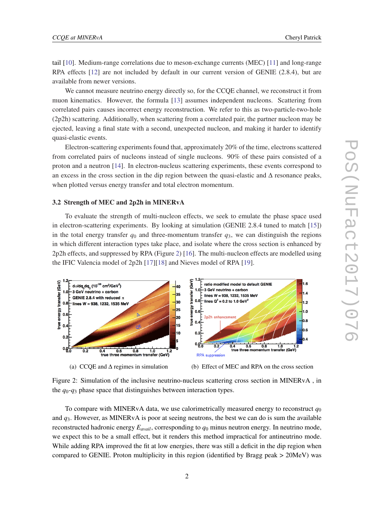<span id="page-2-0"></span>tail [[10\]](#page-6-0). Medium-range correlations due to meson-exchange currents (MEC) [[11\]](#page-6-0) and long-range RPA effects [[12](#page-6-0)] are not included by default in our current version of GENIE (2.8.4), but are available from newer versions.

We cannot measure neutrino energy directly so, for the CCQE channel, we reconstruct it from muon kinematics. However, the formula [\[13](#page-6-0)] assumes independent nucleons. Scattering from correlated pairs causes incorrect energy reconstruction. We refer to this as two-particle-two-hole (2p2h) scattering. Additionally, when scattering from a correlated pair, the partner nucleon may be ejected, leaving a final state with a second, unexpected nucleon, and making it harder to identify quasi-elastic events.

Electron-scattering experiments found that, approximately 20% of the time, electrons scattered from correlated pairs of nucleons instead of single nucleons. 90% of these pairs consisted of a proton and a neutron [[14\]](#page-6-0). In electron-nucleus scattering experiments, these events correspond to an excess in the cross section in the dip region between the quasi-elastic and ∆ resonance peaks, when plotted versus energy transfer and total electron momentum.

#### 3.2 Strength of MEC and 2p2h in MINERvA

To evaluate the strength of multi-nucleon effects, we seek to emulate the phase space used in electron-scattering experiments. By looking at simulation (GENIE 2.8.4 tuned to match [[15\]](#page-6-0)) in the total energy transfer  $q_0$  and three-momentum transfer  $q_3$ , we can distinguish the regions in which different interaction types take place, and isolate where the cross section is enhanced by 2p2h effects, and suppressed by RPA (Figure 2) [\[16](#page-6-0)]. The multi-nucleon effects are modelled using the IFIC Valencia model of 2p2h [\[17\]\[18](#page-6-0)] and Nieves model of RPA [[19\]](#page-6-0).



Figure 2: Simulation of the inclusive neutrino-nucleus scattering cross section in MINERvA , in the  $q_0$ - $q_3$  phase space that distinguishes between interaction types.

To compare with MINERvA data, we use calorimetrically measured energy to reconstruct  $q_0$ and  $q_3$ . However, as MINERvA is poor at seeing neutrons, the best we can do is sum the available reconstructed hadronic energy  $E_{avail}$ , corresponding to  $q_0$  minus neutron energy. In neutrino mode, we expect this to be a small effect, but it renders this method impractical for antineutrino mode. While adding RPA improved the fit at low energies, there was still a deficit in the dip region when compared to GENIE. Proton multiplicity in this region (identified by Bragg peak > 20MeV) was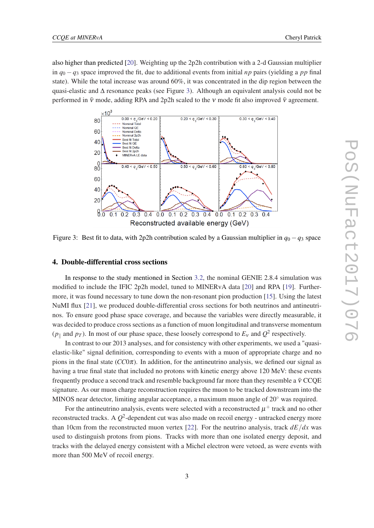also higher than predicted [\[20\]](#page-6-0). Weighting up the 2p2h contribution with a 2-d Gaussian multiplier in  $q_0 - q_3$  space improved the fit, due to additional events from initial *np* pairs (yielding a *pp* final state). While the total increase was around 60%, it was concentrated in the dip region between the quasi-elastic and  $\Delta$  resonance peaks (see Figure 3). Although an equivalent analysis could not be performed in  $\bar{v}$  mode, adding RPA and 2p2h scaled to the v mode fit also improved  $\bar{v}$  agreement.



Figure 3: Best fit to data, with 2p2h contribution scaled by a Gaussian multiplier in  $q_0 - q_3$  space

#### 4. Double-differential cross sections

In response to the study mentioned in Section [3.2](#page-2-0), the nominal GENIE 2.8.4 simulation was modified to include the IFIC 2p2h model, tuned to MINERvA data [\[20](#page-6-0)] and RPA [[19\]](#page-6-0). Furthermore, it was found necessary to tune down the non-resonant pion production [\[15](#page-6-0)]. Using the latest NuMI flux [[21\]](#page-6-0), we produced double-differential cross sections for both neutrinos and antineutrinos. To ensure good phase space coverage, and because the variables were directly measurable, it was decided to produce cross sections as a function of muon longitudinal and transverse momentum  $(p_{\parallel}$  and  $p_T$ ). In most of our phase space, these loosely correspond to  $E_v$  and  $Q^2$  respectively.

In contrast to our 2013 analyses, and for consistency with other experiments, we used a "quasielastic-like" signal definition, corresponding to events with a muon of appropriate charge and no pions in the final state (*CC*0π). In addition, for the antineutrino analysis, we defined our signal as having a true final state that included no protons with kinetic energy above 120 MeV: these events frequently produce a second track and resemble background far more than they resemble a  $\bar{v}$  CCQE signature. As our muon charge reconstruction requires the muon to be tracked downstream into the MINOS near detector, limiting angular acceptance, a maximum muon angle of 20◦ was required.

For the antineutrino analysis, events were selected with a reconstructed  $\mu^+$  track and no other reconstructed tracks. A  $Q^2$ -dependent cut was also made on recoil energy - untracked energy more than 10cm from the reconstructed muon vertex [\[22](#page-6-0)]. For the neutrino analysis, track  $dE/dx$  was used to distinguish protons from pions. Tracks with more than one isolated energy deposit, and tracks with the delayed energy consistent with a Michel electron were vetoed, as were events with more than 500 MeV of recoil energy.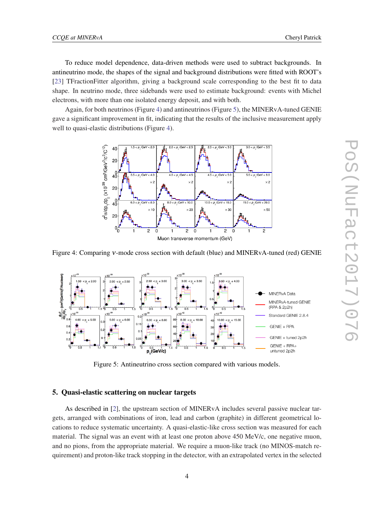To reduce model dependence, data-driven methods were used to subtract backgrounds. In antineutrino mode, the shapes of the signal and background distributions were fitted with ROOT's [[23\]](#page-6-0) TFractionFitter algorithm, giving a background scale corresponding to the best fit to data shape. In neutrino mode, three sidebands were used to estimate background: events with Michel electrons, with more than one isolated energy deposit, and with both.

Again, for both neutrinos (Figure 4) and antineutrinos (Figure 5), the MINERvA-tuned GENIE gave a significant improvement in fit, indicating that the results of the inclusive measurement apply well to quasi-elastic distributions (Figure 4).



Figure 4: Comparing ν-mode cross section with default (blue) and MINERvA-tuned (red) GENIE



Figure 5: Antineutrino cross section compared with various models.

## 5. Quasi-elastic scattering on nuclear targets

As described in [[2](#page-5-0)], the upstream section of MINERvA includes several passive nuclear targets, arranged with combinations of iron, lead and carbon (graphite) in different geometrical locations to reduce systematic uncertainty. A quasi-elastic-like cross section was measured for each material. The signal was an event with at least one proton above 450 MeV/c, one negative muon, and no pions, from the appropriate material. We require a muon-like track (no MINOS-match requirement) and proton-like track stopping in the detector, with an extrapolated vertex in the selected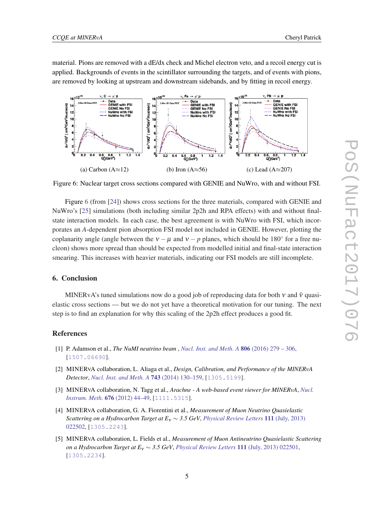<span id="page-5-0"></span>material. Pions are removed with a dE/dx check and Michel electron veto, and a recoil energy cut is applied. Backgrounds of events in the scintillator surrounding the targets, and of events with pions, are removed by looking at upstream and downstream sidebands, and by fitting in recoil energy.



Figure 6: Nuclear target cross sections compared with GENIE and NuWro, with and without FSI.

Figure 6 (from [[24\]](#page-6-0)) shows cross sections for the three materials, compared with GENIE and NuWro's [\[25](#page-6-0)] simulations (both including similar 2p2h and RPA effects) with and without finalstate interaction models. In each case, the best agreement is with NuWro with FSI, which incorporates an *A*-dependent pion absorption FSI model not included in GENIE. However, plotting the coplanarity angle (angle between the  $v - \mu$  and  $v - p$  planes, which should be 180<sup>°</sup> for a free nucleon) shows more spread than should be expected from modelled initial and final-state interaction smearing. This increases with heavier materials, indicating our FSI models are still incomplete.

### 6. Conclusion

MINERvA's tuned simulations now do a good job of reproducing data for both  $v$  and  $\bar{v}$  quasielastic cross sections — but we do not yet have a theoretical motivation for our tuning. The next step is to find an explanation for why this scaling of the 2p2h effect produces a good fit.

#### References

- [1] P. Adamson et al., *The NuMI neutrino beam* , *[Nucl. Inst. and Meth. A](https://doi.org/10.1016/j.nima.2015.08.063)* 806 (2016) 279 306, [[1507.06690](https://arxiv.org/abs/1507.06690)].
- [2] MINERVA collaboration, L. Aliaga et al., *Design, Calibration, and Performance of the MINERvA Detector*, *[Nucl. Inst. and Meth. A](https://doi.org/10.1016/j.nima.2013.12.053)* 743 (2014) 130–159, [[1305.5199](https://arxiv.org/abs/1305.5199)].
- [3] MINERVA collaboration, N. Tagg et al., *Arachne A web-based event viewer for MINERvA*, *[Nucl.](https://doi.org/10.1016/j.nima.2012.01.059) [Instrum. Meth.](https://doi.org/10.1016/j.nima.2012.01.059)* 676 (2012) 44–49, [[1111.5315](https://arxiv.org/abs/1111.5315)].
- [4] MINERVA collaboration, G. A. Fiorentini et al., *Measurement of Muon Neutrino Quasielastic Scattering on a Hydrocarbon Target at E*<sup>ν</sup> ∼ *3.5 GeV*, *[Physical Review Letters](https://doi.org/10.1103/PhysRevLett.111.022502)* 111 (July, 2013) [022502](https://doi.org/10.1103/PhysRevLett.111.022502), [[1305.2243](https://arxiv.org/abs/1305.2243)].
- [5] MINERVA collaboration, L. Fields et al., *Measurement of Muon Antineutrino Quasielastic Scattering on a Hydrocarbon Target at E*<sup>ν</sup> ∼ *3.5 GeV*, *[Physical Review Letters](https://doi.org/10.1103/PhysRevLett.111.022501)* 111 (July, 2013) 022501, [[1305.2234](https://arxiv.org/abs/1305.2234)].